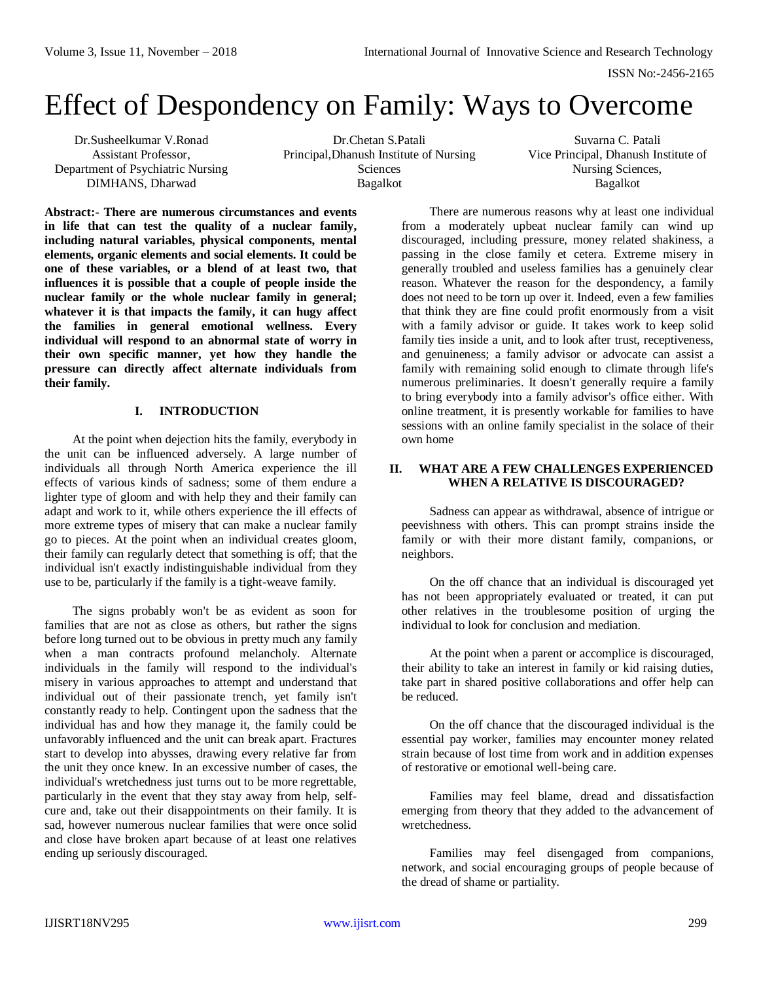# Effect of Despondency on Family: Ways to Overcome

Dr.Susheelkumar V.Ronad Assistant Professor, Department of Psychiatric Nursing DIMHANS, Dharwad

Dr.Chetan S.Patali Principal,Dhanush Institute of Nursing Sciences Bagalkot

Suvarna C. Patali Vice Principal, Dhanush Institute of Nursing Sciences, Bagalkot

**Abstract:- There are numerous circumstances and events in life that can test the quality of a nuclear family, including natural variables, physical components, mental elements, organic elements and social elements. It could be one of these variables, or a blend of at least two, that influences it is possible that a couple of people inside the nuclear family or the whole nuclear family in general; whatever it is that impacts the family, it can hugy affect the families in general emotional wellness. Every individual will respond to an abnormal state of worry in their own specific manner, yet how they handle the pressure can directly affect alternate individuals from their family.** 

## **I. INTRODUCTION**

At the point when dejection hits the family, everybody in the unit can be influenced adversely. A large number of individuals all through North America experience the ill effects of various kinds of sadness; some of them endure a lighter type of gloom and with help they and their family can adapt and work to it, while others experience the ill effects of more extreme types of misery that can make a nuclear family go to pieces. At the point when an individual creates gloom, their family can regularly detect that something is off; that the individual isn't exactly indistinguishable individual from they use to be, particularly if the family is a tight-weave family.

The signs probably won't be as evident as soon for families that are not as close as others, but rather the signs before long turned out to be obvious in pretty much any family when a man contracts profound melancholy. Alternate individuals in the family will respond to the individual's misery in various approaches to attempt and understand that individual out of their passionate trench, yet family isn't constantly ready to help. Contingent upon the sadness that the individual has and how they manage it, the family could be unfavorably influenced and the unit can break apart. Fractures start to develop into abysses, drawing every relative far from the unit they once knew. In an excessive number of cases, the individual's wretchedness just turns out to be more regrettable, particularly in the event that they stay away from help, selfcure and, take out their disappointments on their family. It is sad, however numerous nuclear families that were once solid and close have broken apart because of at least one relatives ending up seriously discouraged.

There are numerous reasons why at least one individual from a moderately upbeat nuclear family can wind up discouraged, including pressure, money related shakiness, a passing in the close family et cetera. Extreme misery in generally troubled and useless families has a genuinely clear reason. Whatever the reason for the despondency, a family does not need to be torn up over it. Indeed, even a few families that think they are fine could profit enormously from a visit with a family advisor or guide. It takes work to keep solid family ties inside a unit, and to look after trust, receptiveness, and genuineness; a family advisor or advocate can assist a family with remaining solid enough to climate through life's numerous preliminaries. It doesn't generally require a family to bring everybody into a family advisor's office either. With online treatment, it is presently workable for families to have sessions with an online family specialist in the solace of their own home

# **II. WHAT ARE A FEW CHALLENGES EXPERIENCED WHEN A RELATIVE IS DISCOURAGED?**

Sadness can appear as withdrawal, absence of intrigue or peevishness with others. This can prompt strains inside the family or with their more distant family, companions, or neighbors.

On the off chance that an individual is discouraged yet has not been appropriately evaluated or treated, it can put other relatives in the troublesome position of urging the individual to look for conclusion and mediation.

At the point when a parent or accomplice is discouraged, their ability to take an interest in family or kid raising duties, take part in shared positive collaborations and offer help can be reduced.

On the off chance that the discouraged individual is the essential pay worker, families may encounter money related strain because of lost time from work and in addition expenses of restorative or emotional well-being care.

Families may feel blame, dread and dissatisfaction emerging from theory that they added to the advancement of wretchedness.

Families may feel disengaged from companions, network, and social encouraging groups of people because of the dread of shame or partiality.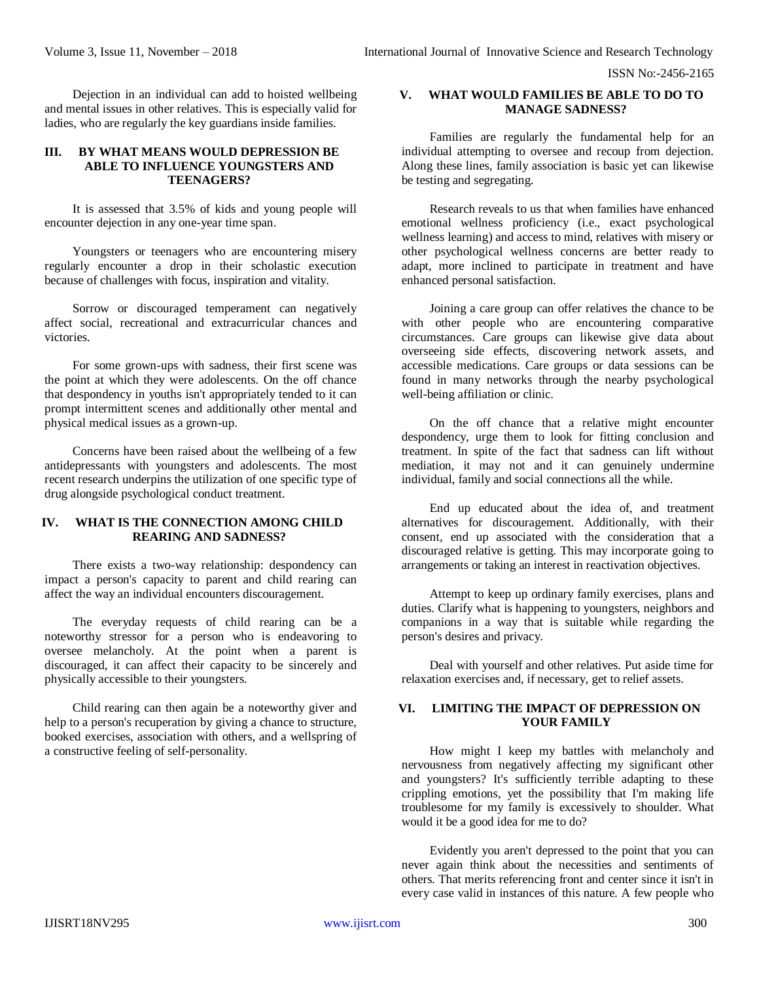ISSN No:-2456-2165

Dejection in an individual can add to hoisted wellbeing and mental issues in other relatives. This is especially valid for ladies, who are regularly the key guardians inside families.

#### **III. BY WHAT MEANS WOULD DEPRESSION BE ABLE TO INFLUENCE YOUNGSTERS AND TEENAGERS?**

It is assessed that 3.5% of kids and young people will encounter dejection in any one-year time span.

Youngsters or teenagers who are encountering misery regularly encounter a drop in their scholastic execution because of challenges with focus, inspiration and vitality.

Sorrow or discouraged temperament can negatively affect social, recreational and extracurricular chances and victories.

For some grown-ups with sadness, their first scene was the point at which they were adolescents. On the off chance that despondency in youths isn't appropriately tended to it can prompt intermittent scenes and additionally other mental and physical medical issues as a grown-up.

Concerns have been raised about the wellbeing of a few antidepressants with youngsters and adolescents. The most recent research underpins the utilization of one specific type of drug alongside psychological conduct treatment.

## **IV. WHAT IS THE CONNECTION AMONG CHILD REARING AND SADNESS?**

There exists a two-way relationship: despondency can impact a person's capacity to parent and child rearing can affect the way an individual encounters discouragement.

The everyday requests of child rearing can be a noteworthy stressor for a person who is endeavoring to oversee melancholy. At the point when a parent is discouraged, it can affect their capacity to be sincerely and physically accessible to their youngsters.

Child rearing can then again be a noteworthy giver and help to a person's recuperation by giving a chance to structure, booked exercises, association with others, and a wellspring of a constructive feeling of self-personality.

## **V. WHAT WOULD FAMILIES BE ABLE TO DO TO MANAGE SADNESS?**

Families are regularly the fundamental help for an individual attempting to oversee and recoup from dejection. Along these lines, family association is basic yet can likewise be testing and segregating.

Research reveals to us that when families have enhanced emotional wellness proficiency (i.e., exact psychological wellness learning) and access to mind, relatives with misery or other psychological wellness concerns are better ready to adapt, more inclined to participate in treatment and have enhanced personal satisfaction.

Joining a care group can offer relatives the chance to be with other people who are encountering comparative circumstances. Care groups can likewise give data about overseeing side effects, discovering network assets, and accessible medications. Care groups or data sessions can be found in many networks through the nearby psychological well-being affiliation or clinic.

On the off chance that a relative might encounter despondency, urge them to look for fitting conclusion and treatment. In spite of the fact that sadness can lift without mediation, it may not and it can genuinely undermine individual, family and social connections all the while.

End up educated about the idea of, and treatment alternatives for discouragement. Additionally, with their consent, end up associated with the consideration that a discouraged relative is getting. This may incorporate going to arrangements or taking an interest in reactivation objectives.

Attempt to keep up ordinary family exercises, plans and duties. Clarify what is happening to youngsters, neighbors and companions in a way that is suitable while regarding the person's desires and privacy.

Deal with yourself and other relatives. Put aside time for relaxation exercises and, if necessary, get to relief assets.

# **VI. LIMITING THE IMPACT OF DEPRESSION ON YOUR FAMILY**

How might I keep my battles with melancholy and nervousness from negatively affecting my significant other and youngsters? It's sufficiently terrible adapting to these crippling emotions, yet the possibility that I'm making life troublesome for my family is excessively to shoulder. What would it be a good idea for me to do?

Evidently you aren't depressed to the point that you can never again think about the necessities and sentiments of others. That merits referencing front and center since it isn't in every case valid in instances of this nature. A few people who